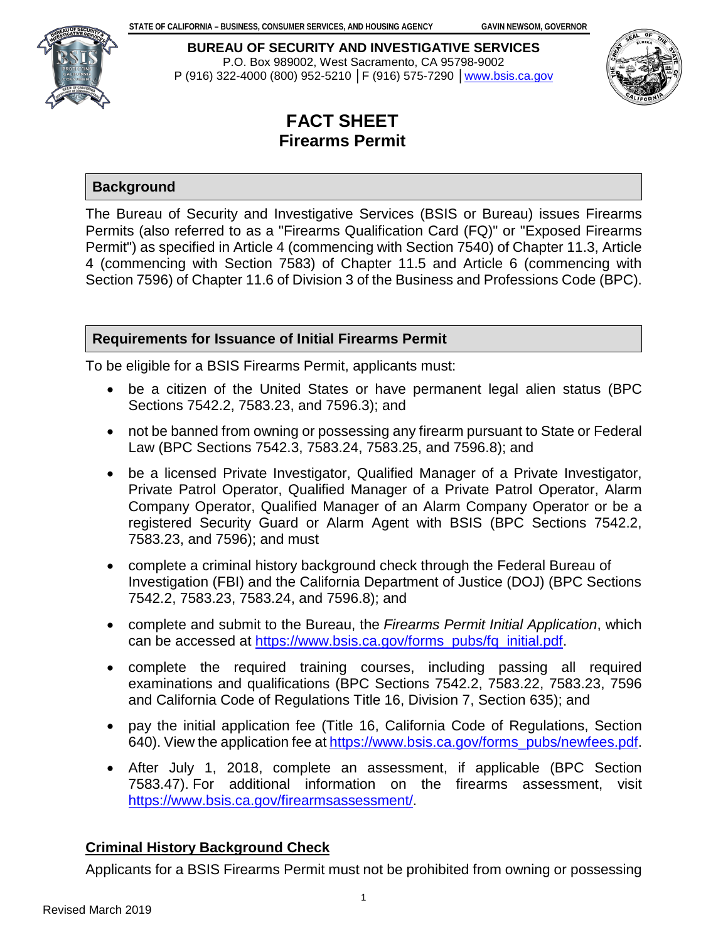

**BUREAU OF SECURITY AND INVESTIGATIVE SERVICES** P.O. Box 989002, West Sacramento, CA 95798-9002 P (916) 322-4000 (800) 952-5210 │F (916) 575-7290 │[www.bsis.ca.gov](http://www.bsis.ca.gov/) 



# **FACT SHEET Firearms Permit**

## **Background**

The Bureau of Security and Investigative Services (BSIS or Bureau) issues Firearms Permits (also referred to as a "Firearms Qualification Card (FQ)" or "Exposed Firearms Permit") as specified in Article 4 (commencing with Section 7540) of Chapter 11.3, Article 4 (commencing with Section 7583) of Chapter 11.5 and Article 6 (commencing with Section 7596) of Chapter 11.6 of Division 3 of the Business and Professions Code (BPC).

# **Requirements for Issuance of Initial Firearms Permit**

To be eligible for a BSIS Firearms Permit, applicants must:

- be a citizen of the United States or have permanent legal alien status (BPC Sections 7542.2, 7583.23, and 7596.3); and
- not be banned from owning or possessing any firearm pursuant to State or Federal Law (BPC Sections 7542.3, 7583.24, 7583.25, and 7596.8); and
- be a licensed Private Investigator, Qualified Manager of a Private Investigator, Private Patrol Operator, Qualified Manager of a Private Patrol Operator, Alarm Company Operator, Qualified Manager of an Alarm Company Operator or be a registered Security Guard or Alarm Agent with BSIS (BPC Sections 7542.2, 7583.23, and 7596); and must
- complete a criminal history background check through the Federal Bureau of Investigation (FBI) and the California Department of Justice (DOJ) (BPC Sections 7542.2, 7583.23, 7583.24, and 7596.8); and
- complete and submit to the Bureau, the *Firearms Permit Initial Application*, which can be accessed at [https://www.bsis.ca.gov/forms\\_pubs/fq\\_initial.pdf.](https://www.bsis.ca.gov/forms_pubs/fq_initial.pdf)
- complete the required training courses, including passing all required examinations and qualifications (BPC Sections 7542.2, 7583.22, 7583.23, 7596 and California Code of Regulations Title 16, Division 7, Section 635); and
- pay the initial application fee (Title 16, California Code of Regulations, Section 640). View the application fee at [https://www.bsis.ca.gov/forms\\_pubs/newfees.pdf.](https://www.bsis.ca.gov/forms_pubs/newfees.pdf)
- After July 1, 2018, complete an assessment, if applicable (BPC Section 7583.47). For additional information on the firearms assessment, visit [https://www.bsis.ca.gov/firearmsassessment/.](https://www.bsis.ca.gov/firearmsassessment/)

# **Criminal History Background Check**

Applicants for a BSIS Firearms Permit must not be prohibited from owning or possessing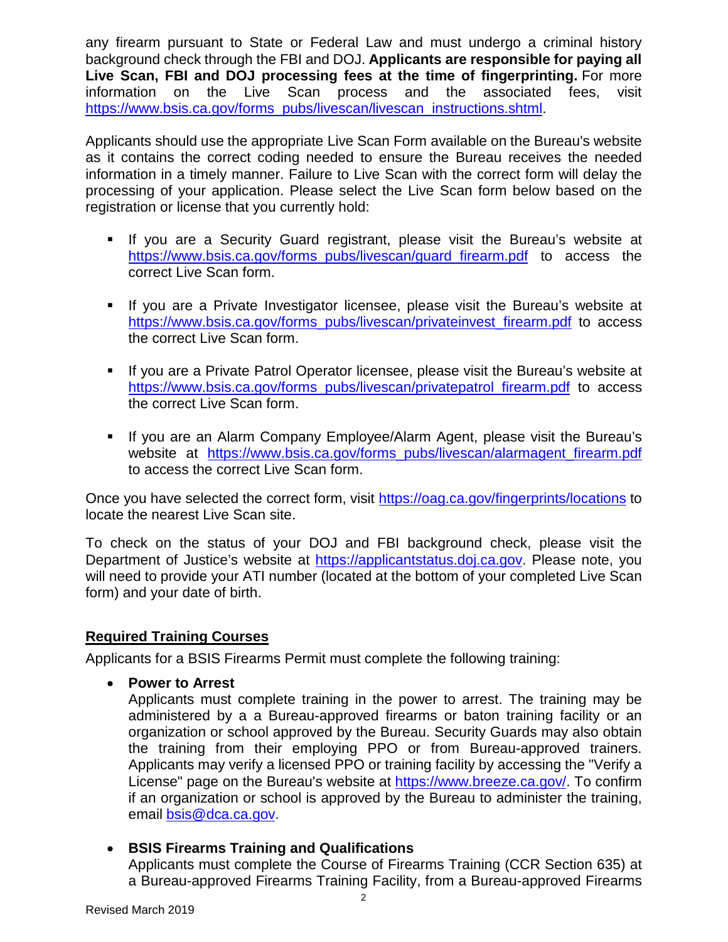any firearm pursuant to State or Federal Law and must undergo a criminal history background check through the FBI and DOJ. **Applicants are responsible for paying all Live Scan, FBI and DOJ processing fees at the time of fingerprinting.** For more information on the Live Scan process and the associated fees, visit [https://www.bsis.ca.gov/forms\\_pubs/livescan/livescan\\_instructions.shtml.](https://www.bsis.ca.gov/forms_pubs/livescan/livescan_instructions.shtml)

Applicants should use the appropriate Live Scan Form available on the Bureau's website as it contains the correct coding needed to ensure the Bureau receives the needed information in a timely manner. Failure to Live Scan with the correct form will delay the processing of your application. Please select the Live Scan form below based on the registration or license that you currently hold:

- If you are a Security Guard registrant, please visit the Bureau's website at [https://www.bsis.ca.gov/forms\\_pubs/livescan/guard\\_firearm.pdf](https://www.bsis.ca.gov/forms_pubs/livescan/guard_firearm.pdf) to access the correct Live Scan form.
- If you are a Private Investigator licensee, please visit the Bureau's website at [https://www.bsis.ca.gov/forms\\_pubs/livescan/privateinvest\\_firearm.pdf](https://www.bsis.ca.gov/forms_pubs/livescan/privateinvest_firearm.pdf)\_to\_access the correct Live Scan form.
- If you are a Private Patrol Operator licensee, please visit the Bureau's website at [https://www.bsis.ca.gov/forms\\_pubs/livescan/privatepatrol\\_firearm.pdf](https://www.bsis.ca.gov/forms_pubs/livescan/privatepatrol_firearm.pdf) to access the correct Live Scan form.
- If you are an Alarm Company Employee/Alarm Agent, please visit the Bureau's website at [https://www.bsis.ca.gov/forms\\_pubs/livescan/alarmagent\\_firearm.pdf](https://www.bsis.ca.gov/forms_pubs/livescan/alarmagent_firearm.pdf) to access the correct Live Scan form.

Once you have selected the correct form, visit<https://oag.ca.gov/fingerprints/locations> to locate the nearest Live Scan site.

To check on the status of your DOJ and FBI background check, please visit the Department of Justice's website at [https://applicantstatus.doj.ca.gov.](https://applicantstatus.doj.ca.gov/) Please note, you will need to provide your ATI number (located at the bottom of your completed Live Scan form) and your date of birth.

## **Required Training Courses**

Applicants for a BSIS Firearms Permit must complete the following training:

• **Power to Arrest**

Applicants must complete training in the power to arrest. The training may be administered by a a Bureau-approved firearms or baton training facility or an organization or school approved by the Bureau. Security Guards may also obtain the training from their employing PPO or from Bureau-approved trainers. Applicants may verify a licensed PPO or training facility by accessing the "Verify a License" page on the Bureau's website at [https://www.breeze.ca.gov/.](https://www.breeze.ca.gov/) To confirm if an organization or school is approved by the Bureau to administer the training, email [bsis@dca.ca.gov.](mailto:bsis@dca.ca.gov)

#### • **BSIS Firearms Training and Qualifications**

Applicants must complete the Course of Firearms Training (CCR Section 635) at a Bureau-approved Firearms Training Facility, from a Bureau-approved Firearms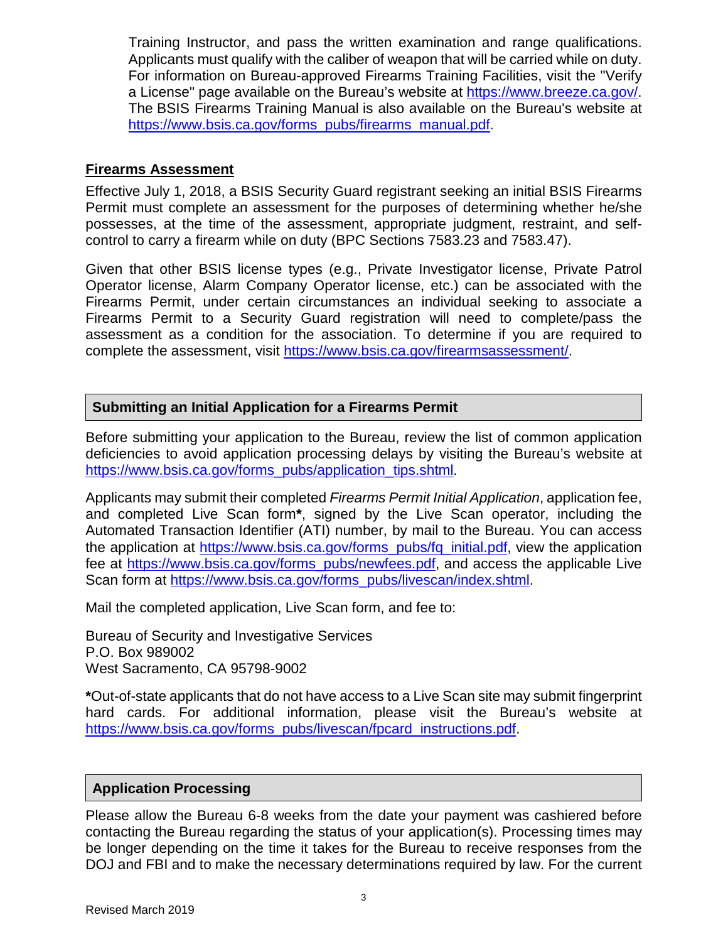Training Instructor, and pass the written examination and range qualifications. Applicants must qualify with the caliber of weapon that will be carried while on duty. For information on Bureau-approved Firearms Training Facilities, visit the "Verify a License" page available on the Bureau's website at [https://www.breeze.ca.gov/.](https://www.breeze.ca.gov/) The BSIS Firearms Training Manual is also available on the Bureau's website at [https://www.bsis.ca.gov/forms\\_pubs/firearms\\_manual.pdf.](https://www.bsis.ca.gov/forms_pubs/firearms_manual.pdf)

#### **Firearms Assessment**

Effective July 1, 2018, a BSIS Security Guard registrant seeking an initial BSIS Firearms Permit must complete an assessment for the purposes of determining whether he/she possesses, at the time of the assessment, appropriate judgment, restraint, and selfcontrol to carry a firearm while on duty (BPC Sections 7583.23 and 7583.47).

Given that other BSIS license types (e.g., Private Investigator license, Private Patrol Operator license, Alarm Company Operator license, etc.) can be associated with the Firearms Permit, under certain circumstances an individual seeking to associate a Firearms Permit to a Security Guard registration will need to complete/pass the assessment as a condition for the association. To determine if you are required to complete the assessment, visit [https://www.bsis.ca.gov/firearmsassessment/.](https://www.bsis.ca.gov/firearmsassessment/)

#### **Submitting an Initial Application for a Firearms Permit**

Before submitting your application to the Bureau, review the list of common application deficiencies to avoid application processing delays by visiting the Bureau's website at [https://www.bsis.ca.gov/forms\\_pubs/application\\_tips.shtml](https://www.bsis.ca.gov/forms_pubs/application_tips.shtml).

Applicants may submit their completed *Firearms Permit Initial Application*, application fee, and completed Live Scan form**\***, signed by the Live Scan operator, including the Automated Transaction Identifier (ATI) number, by mail to the Bureau. You can access the application at [https://www.bsis.ca.gov/forms\\_pubs/fq\\_initial.pdf,](https://www.bsis.ca.gov/forms_pubs/fq_initial.pdf) view the application fee at [https://www.bsis.ca.gov/forms\\_pubs/newfees.pdf,](https://www.bsis.ca.gov/forms_pubs/newfees.pdf) and access the applicable Live Scan form at [https://www.bsis.ca.gov/forms\\_pubs/livescan/index.shtml.](https://www.bsis.ca.gov/forms_pubs/livescan/index.shtml)

Mail the completed application, Live Scan form, and fee to:

Bureau of Security and Investigative Services P.O. Box 989002 West Sacramento, CA 95798-9002

**\***Out-of-state applicants that do not have access to a Live Scan site may submit fingerprint hard cards. For additional information, please visit the Bureau's website at [https://www.bsis.ca.gov/forms\\_pubs/livescan/fpcard\\_instructions.pdf.](https://www.bsis.ca.gov/forms_pubs/livescan/fpcard_instructions.pdf)

#### **Application Processing**

Please allow the Bureau 6-8 weeks from the date your payment was cashiered before contacting the Bureau regarding the status of your application(s). Processing times may be longer depending on the time it takes for the Bureau to receive responses from the DOJ and FBI and to make the necessary determinations required by law. For the current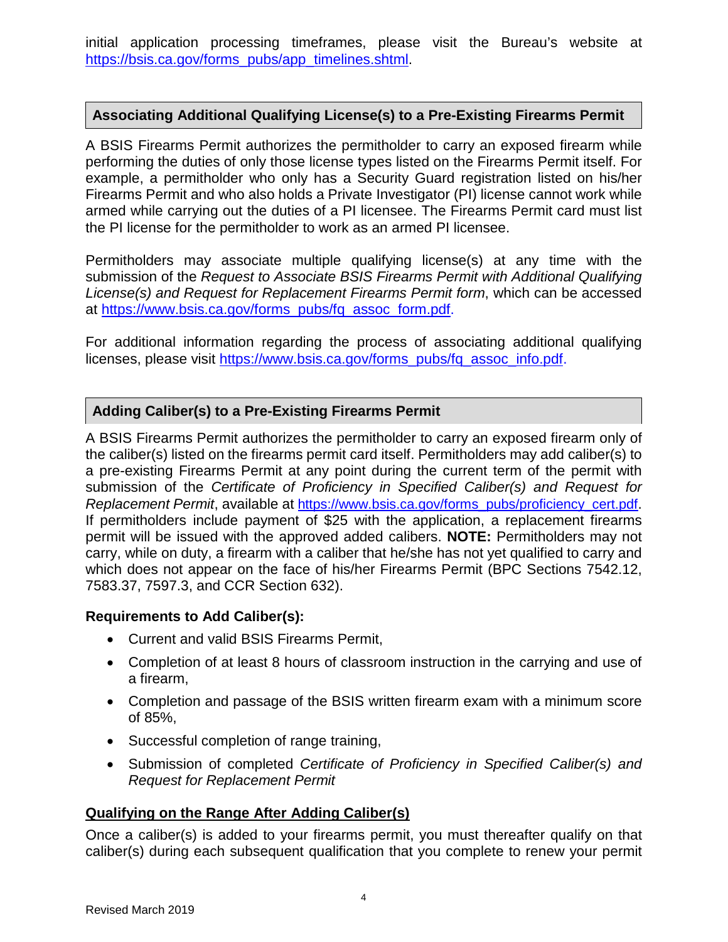initial application processing timeframes, please visit the Bureau's website at [https://bsis.ca.gov/forms\\_pubs/app\\_timelines.shtml.](https://bsis.ca.gov/forms_pubs/app_timelines.shtml)

#### **Associating Additional Qualifying License(s) to a Pre-Existing Firearms Permit**

A BSIS Firearms Permit authorizes the permitholder to carry an exposed firearm while performing the duties of only those license types listed on the Firearms Permit itself. For example, a permitholder who only has a Security Guard registration listed on his/her Firearms Permit and who also holds a Private Investigator (PI) license cannot work while armed while carrying out the duties of a PI licensee. The Firearms Permit card must list the PI license for the permitholder to work as an armed PI licensee.

Permitholders may associate multiple qualifying license(s) at any time with the submission of the *Request to Associate BSIS Firearms Permit with Additional Qualifying License(s) and Request for Replacement Firearms Permit form*, which can be accessed at [https://www.bsis.ca.gov/forms\\_pubs/fq\\_assoc\\_form.pdf.](https://www.bsis.ca.gov/forms_pubs/fq_assoc_form.pdf)

For additional information regarding the process of associating additional qualifying licenses, please visit [https://www.bsis.ca.gov/forms\\_pubs/fq\\_assoc\\_info.pdf.](https://www.bsis.ca.gov/forms_pubs/fq_assoc_info.pdf)

#### **Adding Caliber(s) to a Pre-Existing Firearms Permit**

A BSIS Firearms Permit authorizes the permitholder to carry an exposed firearm only of the caliber(s) listed on the firearms permit card itself. Permitholders may add caliber(s) to a pre-existing Firearms Permit at any point during the current term of the permit with submission of the *Certificate of Proficiency in Specified Caliber(s) and Request for Replacement Permit*, available at [https://www.bsis.ca.gov/forms\\_pubs/proficiency\\_cert.pdf.](https://www.bsis.ca.gov/forms_pubs/proficiency_cert.pdf) If permitholders include payment of \$25 with the application, a replacement firearms permit will be issued with the approved added calibers. **NOTE:** Permitholders may not carry, while on duty, a firearm with a caliber that he/she has not yet qualified to carry and which does not appear on the face of his/her Firearms Permit (BPC Sections 7542.12, 7583.37, 7597.3, and CCR Section 632).

#### **Requirements to Add Caliber(s):**

- Current and valid BSIS Firearms Permit,
- Completion of at least 8 hours of classroom instruction in the carrying and use of a firearm,
- Completion and passage of the BSIS written firearm exam with a minimum score of 85%,
- Successful completion of range training,
- Submission of completed *Certificate of Proficiency in Specified Caliber(s) and Request for Replacement Permit*

#### **Qualifying on the Range After Adding Caliber(s)**

Once a caliber(s) is added to your firearms permit, you must thereafter qualify on that caliber(s) during each subsequent qualification that you complete to renew your permit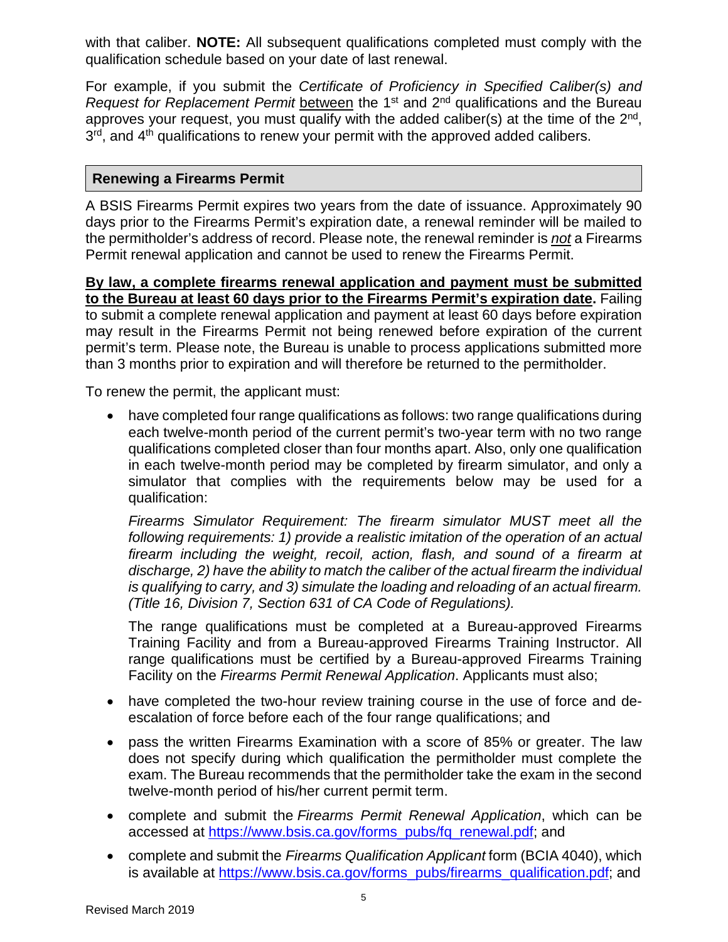with that caliber. **NOTE:** All subsequent qualifications completed must comply with the qualification schedule based on your date of last renewal.

For example, if you submit the *Certificate of Proficiency in Specified Caliber(s) and Request for Replacement Permit* between the 1st and 2nd qualifications and the Bureau approves your request, you must qualify with the added caliber(s) at the time of the  $2<sup>nd</sup>$ . 3<sup>rd</sup>, and 4<sup>th</sup> qualifications to renew your permit with the approved added calibers.

#### **Renewing a Firearms Permit**

A BSIS Firearms Permit expires two years from the date of issuance. Approximately 90 days prior to the Firearms Permit's expiration date, a renewal reminder will be mailed to the permitholder's address of record. Please note, the renewal reminder is *not* a Firearms Permit renewal application and cannot be used to renew the Firearms Permit.

**By law, a complete firearms renewal application and payment must be submitted to the Bureau at least 60 days prior to the Firearms Permit's expiration date.** Failing to submit a complete renewal application and payment at least 60 days before expiration may result in the Firearms Permit not being renewed before expiration of the current permit's term. Please note, the Bureau is unable to process applications submitted more than 3 months prior to expiration and will therefore be returned to the permitholder.

To renew the permit, the applicant must:

• have completed four range qualifications as follows: two range qualifications during each twelve-month period of the current permit's two-year term with no two range qualifications completed closer than four months apart. Also, only one qualification in each twelve-month period may be completed by firearm simulator, and only a simulator that complies with the requirements below may be used for a qualification:

*Firearms Simulator Requirement: The firearm simulator MUST meet all the following requirements: 1) provide a realistic imitation of the operation of an actual firearm including the weight, recoil, action, flash, and sound of a firearm at discharge, 2) have the ability to match the caliber of the actual firearm the individual is qualifying to carry, and 3) simulate the loading and reloading of an actual firearm. (Title 16, Division 7, Section 631 of CA Code of Regulations).* 

The range qualifications must be completed at a Bureau-approved Firearms Training Facility and from a Bureau-approved Firearms Training Instructor. All range qualifications must be certified by a Bureau-approved Firearms Training Facility on the *Firearms Permit Renewal Application*. Applicants must also;

- have completed the two-hour review training course in the use of force and deescalation of force before each of the four range qualifications; and
- pass the written Firearms Examination with a score of 85% or greater. The law does not specify during which qualification the permitholder must complete the exam. The Bureau recommends that the permitholder take the exam in the second twelve-month period of his/her current permit term.
- complete and submit the *Firearms Permit Renewal Application*, which can be accessed at [https://www.bsis.ca.gov/forms\\_pubs/fq\\_renewal.pdf;](https://www.bsis.ca.gov/forms_pubs/fq_renewal.pdf) and
- complete and submit the *Firearms Qualification Applicant* form (BCIA 4040), which is available at [https://www.bsis.ca.gov/forms\\_pubs/firearms\\_qualification.pdf;](https://www.bsis.ca.gov/forms_pubs/firearms_qualification.pdf) and